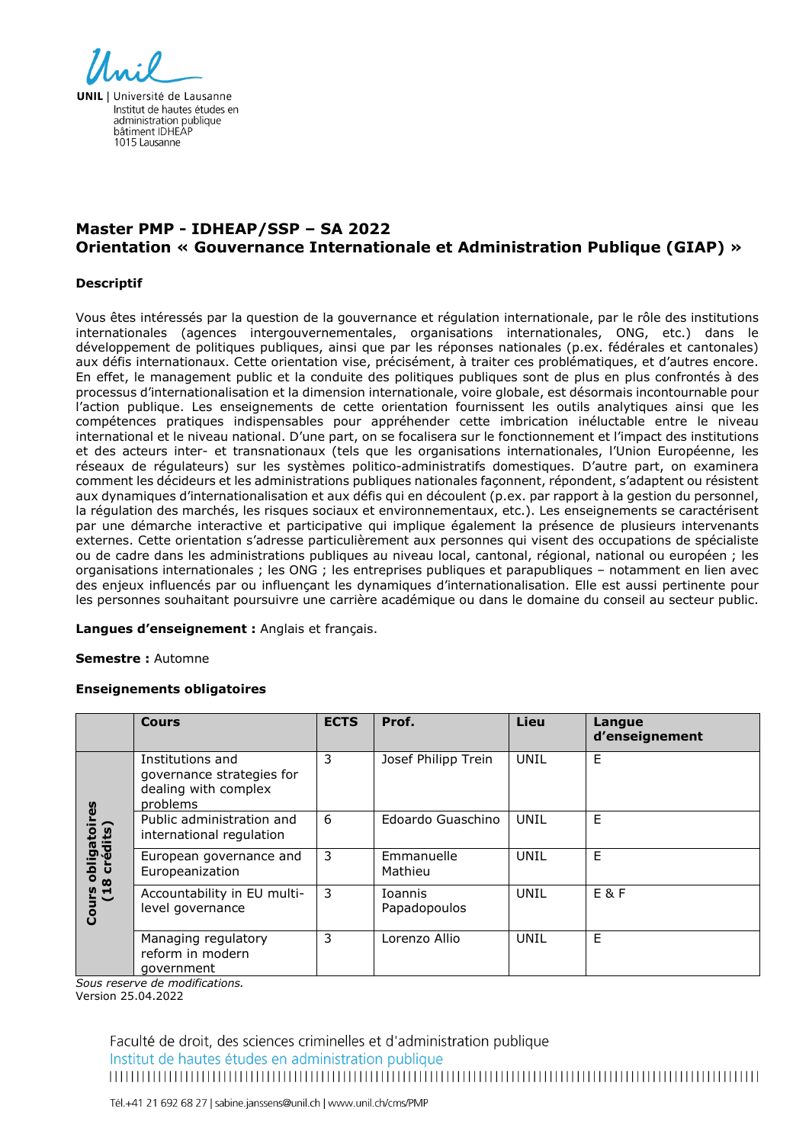

**UNIL** | Université de Lausanne Institut de hautes études en administration publique bâtiment IDHFAF 1015 Lausanne

# **Master PMP - IDHEAP/SSP – SA 2022 Orientation « Gouvernance Internationale et Administration Publique (GIAP) »**

## **Descriptif**

Vous êtes intéressés par la question de la gouvernance et régulation internationale, par le rôle des institutions internationales (agences intergouvernementales, organisations internationales, ONG, etc.) dans le développement de politiques publiques, ainsi que par les réponses nationales (p.ex. fédérales et cantonales) aux défis internationaux. Cette orientation vise, précisément, à traiter ces problématiques, et d'autres encore. En effet, le management public et la conduite des politiques publiques sont de plus en plus confrontés à des processus d'internationalisation et la dimension internationale, voire globale, est désormais incontournable pour l'action publique. Les enseignements de cette orientation fournissent les outils analytiques ainsi que les compétences pratiques indispensables pour appréhender cette imbrication inéluctable entre le niveau international et le niveau national. D'une part, on se focalisera sur le fonctionnement et l'impact des institutions et des acteurs inter- et transnationaux (tels que les organisations internationales, l'Union Européenne, les réseaux de régulateurs) sur les systèmes politico-administratifs domestiques. D'autre part, on examinera comment les décideurs et les administrations publiques nationales façonnent, répondent, s'adaptent ou résistent aux dynamiques d'internationalisation et aux défis qui en découlent (p.ex. par rapport à la gestion du personnel, la régulation des marchés, les risques sociaux et environnementaux, etc.). Les enseignements se caractérisent par une démarche interactive et participative qui implique également la présence de plusieurs intervenants externes. Cette orientation s'adresse particulièrement aux personnes qui visent des occupations de spécialiste ou de cadre dans les administrations publiques au niveau local, cantonal, régional, national ou européen ; les organisations internationales ; les ONG ; les entreprises publiques et parapubliques – notamment en lien avec des enjeux influencés par ou influençant les dynamiques d'internationalisation. Elle est aussi pertinente pour les personnes souhaitant poursuivre une carrière académique ou dans le domaine du conseil au secteur public.

## **Langues d'enseignement :** Anglais et français.

#### **Semestre :** Automne

## **Enseignements obligatoires**

|                                                            | <b>Cours</b>                                                                      | <b>ECTS</b> | Prof.                          | Lieu        | Langue<br>d'enseignement |
|------------------------------------------------------------|-----------------------------------------------------------------------------------|-------------|--------------------------------|-------------|--------------------------|
| res<br>obligatoir<br>8 crédits)<br>(18)<br>ပ္ပ<br>Uo<br>Co | Institutions and<br>governance strategies for<br>dealing with complex<br>problems | 3           | Josef Philipp Trein            | UNIL        | E                        |
|                                                            | Public administration and<br>international regulation                             | 6           | Edoardo Guaschino              | UNIL        | E                        |
|                                                            | European governance and<br>Europeanization                                        | 3           | Emmanuelle<br>Mathieu          | UNIL        | E                        |
|                                                            | Accountability in EU multi-<br>level governance                                   | 3           | <b>Ioannis</b><br>Papadopoulos | UNIL        | $E$ &F                   |
|                                                            | Managing regulatory<br>reform in modern<br>government                             | 3           | Lorenzo Allio                  | <b>UNIL</b> | F                        |

*Sous reserve de modifications.*

Version 25.04.2022

Faculté de droit, des sciences criminelles et d'administration publique Institut de hautes études en administration publique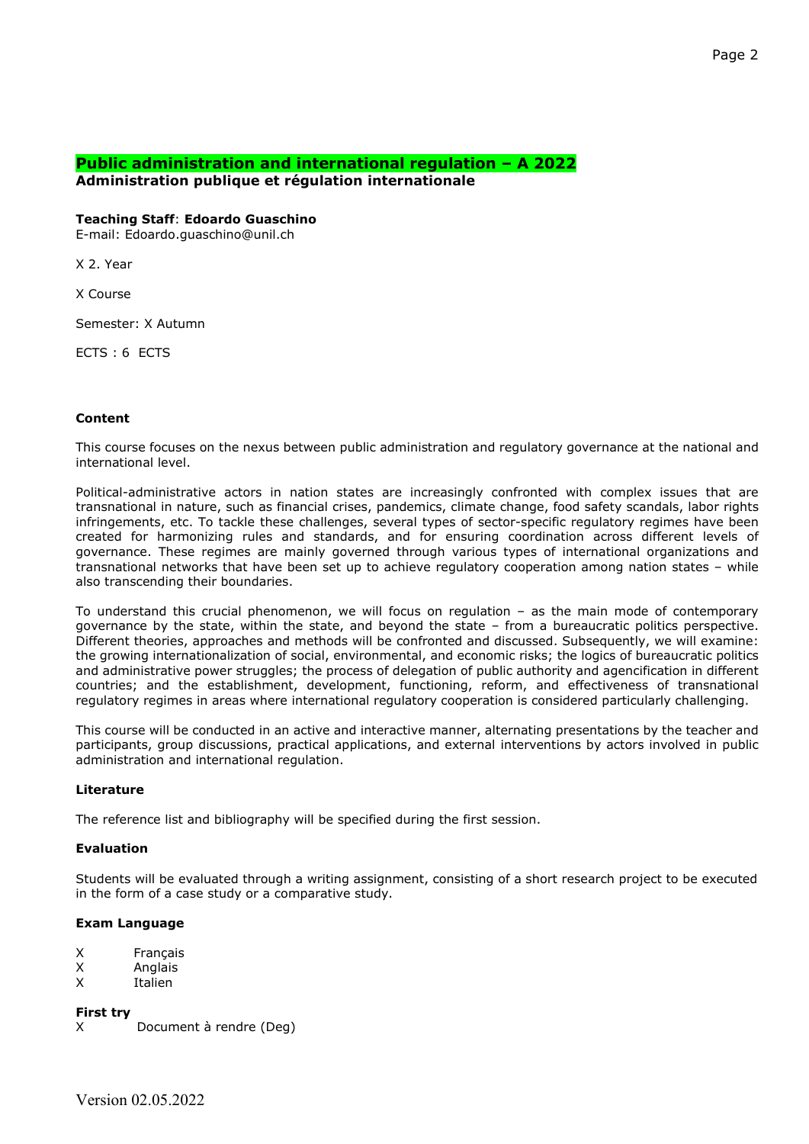## **Public administration and international regulation – A 2022 Administration publique et régulation internationale**

#### **Teaching Staff**: **Edoardo Guaschino**

E-mail: Edoardo.guaschino@unil.ch

X 2. Year

X Course

Semester: X Autumn

ECTS : 6 ECTS

#### **Content**

This course focuses on the nexus between public administration and regulatory governance at the national and international level.

Political-administrative actors in nation states are increasingly confronted with complex issues that are transnational in nature, such as financial crises, pandemics, climate change, food safety scandals, labor rights infringements, etc. To tackle these challenges, several types of sector-specific regulatory regimes have been created for harmonizing rules and standards, and for ensuring coordination across different levels of governance. These regimes are mainly governed through various types of international organizations and transnational networks that have been set up to achieve regulatory cooperation among nation states – while also transcending their boundaries.

To understand this crucial phenomenon, we will focus on regulation – as the main mode of contemporary governance by the state, within the state, and beyond the state – from a bureaucratic politics perspective. Different theories, approaches and methods will be confronted and discussed. Subsequently, we will examine: the growing internationalization of social, environmental, and economic risks; the logics of bureaucratic politics and administrative power struggles; the process of delegation of public authority and agencification in different countries; and the establishment, development, functioning, reform, and effectiveness of transnational regulatory regimes in areas where international regulatory cooperation is considered particularly challenging.

This course will be conducted in an active and interactive manner, alternating presentations by the teacher and participants, group discussions, practical applications, and external interventions by actors involved in public administration and international regulation.

## **Literature**

The reference list and bibliography will be specified during the first session.

## **Evaluation**

Students will be evaluated through a writing assignment, consisting of a short research project to be executed in the form of a case study or a comparative study.

## **Exam Language**

| х | Français |
|---|----------|
|   | Analaic  |

X Anglais<br>X Italien **Italien** 

**First try** 

X Document à rendre (Deg)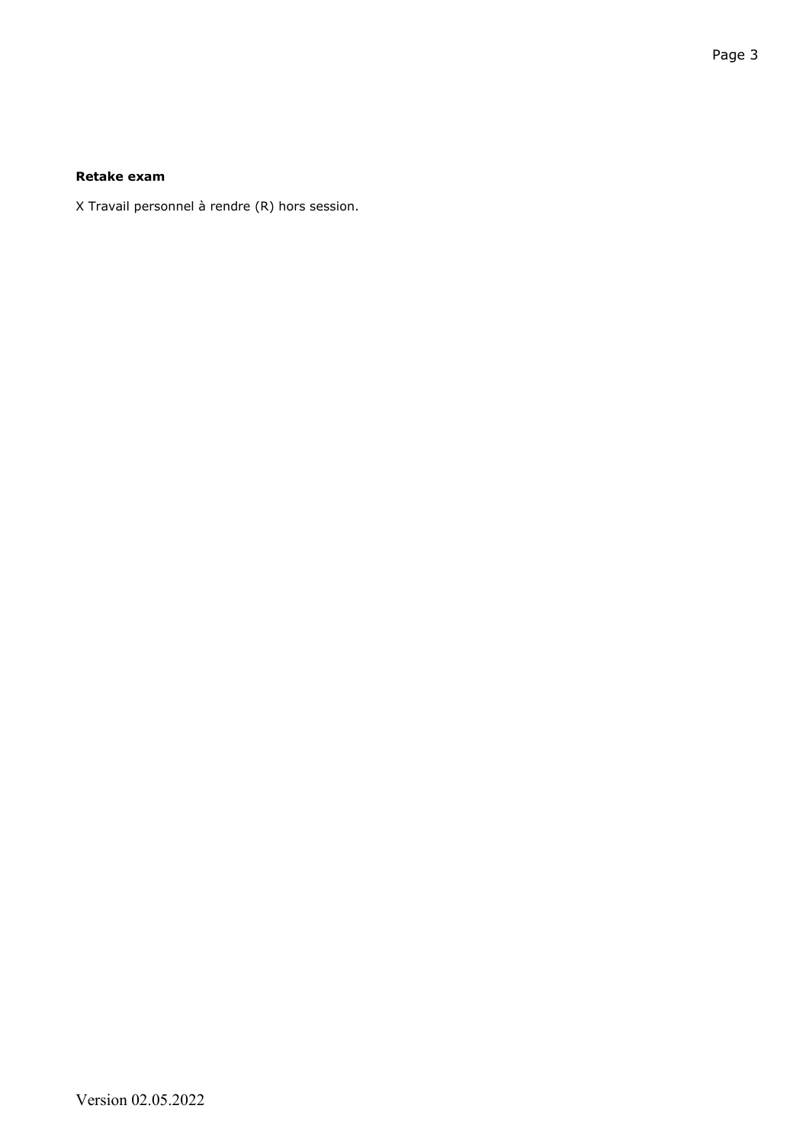# **Retake exam**

X Travail personnel à rendre (R) hors session.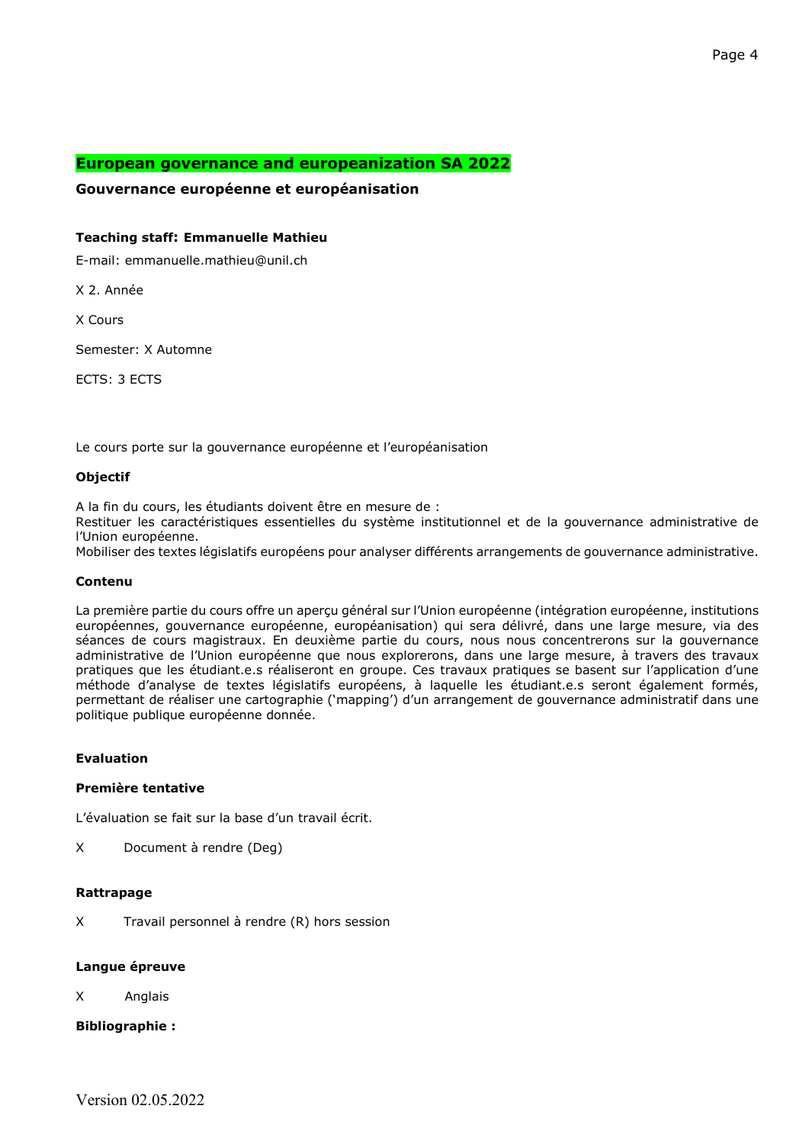# **European governance and europeanization SA 2022**

# **Gouvernance européenne et européanisation**

## **Teaching staff: Emmanuelle Mathieu**

E-mail: emmanuelle.mathieu@unil.ch

X 2. Année

X Cours

Semester: X Automne

ECTS: 3 ECTS

Le cours porte sur la gouvernance européenne et l'européanisation

#### **Objectif**

A la fin du cours, les étudiants doivent être en mesure de :

Restituer les caractéristiques essentielles du système institutionnel et de la gouvernance administrative de l'Union européenne.

Mobiliser des textes législatifs européens pour analyser différents arrangements de gouvernance administrative.

## **Contenu**

La première partie du cours offre un aperçu général sur l'Union européenne (intégration européenne, institutions européennes, gouvernance européenne, européanisation) qui sera délivré, dans une large mesure, via des séances de cours magistraux. En deuxième partie du cours, nous nous concentrerons sur la gouvernance administrative de l'Union européenne que nous explorerons, dans une large mesure, à travers des travaux pratiques que les étudiant.e.s réaliseront en groupe. Ces travaux pratiques se basent sur l'application d'une méthode d'analyse de textes législatifs européens, à laquelle les étudiant.e.s seront également formés, permettant de réaliser une cartographie ('mapping') d'un arrangement de gouvernance administratif dans une politique publique européenne donnée.

## **Evaluation**

## **Première tentative**

L'évaluation se fait sur la base d'un travail écrit.

X Document à rendre (Deg)

## **Rattrapage**

X Travail personnel à rendre (R) hors session

## **Langue épreuve**

X Anglais

## **Bibliographie :**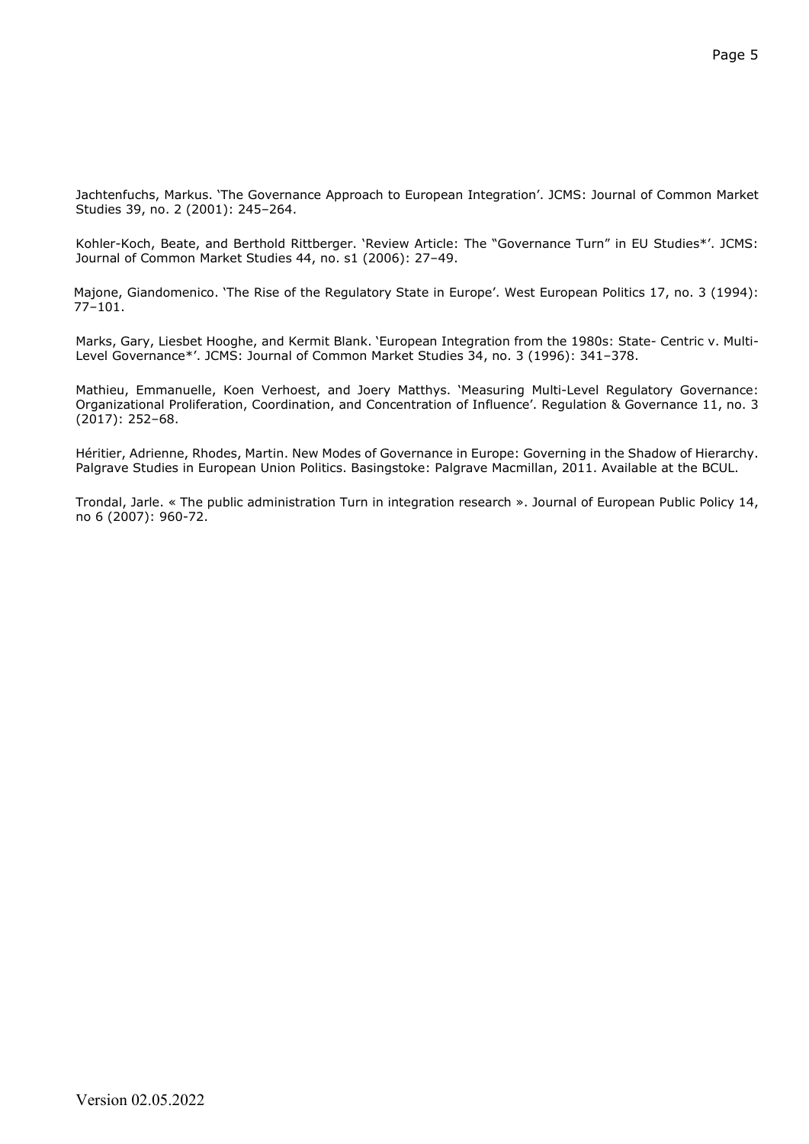Jachtenfuchs, Markus. 'The Governance Approach to European Integration'. JCMS: Journal of Common Market Studies 39, no. 2 (2001): 245–264.

Kohler-Koch, Beate, and Berthold Rittberger. 'Review Article: The "Governance Turn" in EU Studies\*'. JCMS: Journal of Common Market Studies 44, no. s1 (2006): 27–49.

Majone, Giandomenico. 'The Rise of the Regulatory State in Europe'. West European Politics 17, no. 3 (1994): 77–101.

Marks, Gary, Liesbet Hooghe, and Kermit Blank. 'European Integration from the 1980s: State- Centric v. Multi-Level Governance\*'. JCMS: Journal of Common Market Studies 34, no. 3 (1996): 341–378.

Mathieu, Emmanuelle, Koen Verhoest, and Joery Matthys. 'Measuring Multi-Level Regulatory Governance: Organizational Proliferation, Coordination, and Concentration of Influence'. Regulation & Governance 11, no. 3 (2017): 252–68.

Héritier, Adrienne, Rhodes, Martin. New Modes of Governance in Europe: Governing in the Shadow of Hierarchy. Palgrave Studies in European Union Politics. Basingstoke: Palgrave Macmillan, 2011. Available at the BCUL.

Trondal, Jarle. « The public administration Turn in integration research ». Journal of European Public Policy 14, no 6 (2007): 960-72.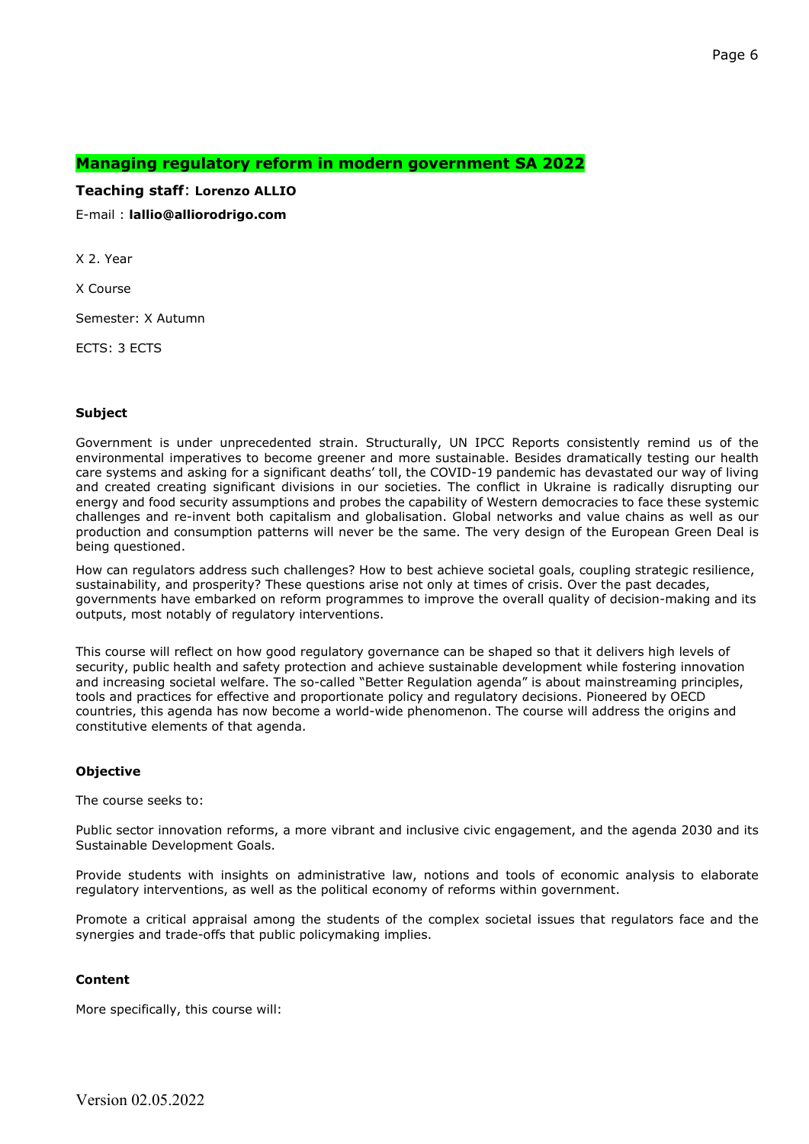# **Managing regulatory reform in modern government SA 2022**

## **Teaching staff**: **Lorenzo ALLIO**

E-mail : **lallio@alliorodrigo.com**

X 2. Year

X Course

Semester: X Autumn

ECTS: 3 ECTS

#### 

#### **Subject**

Government is under unprecedented strain. Structurally, UN IPCC Reports consistently remind us of the environmental imperatives to become greener and more sustainable. Besides dramatically testing our health care systems and asking for a significant deaths' toll, the COVID-19 pandemic has devastated our way of living and created creating significant divisions in our societies. The conflict in Ukraine is radically disrupting our energy and food security assumptions and probes the capability of Western democracies to face these systemic challenges and re-invent both capitalism and globalisation. Global networks and value chains as well as our production and consumption patterns will never be the same. The very design of the European Green Deal is being questioned.

How can regulators address such challenges? How to best achieve societal goals, coupling strategic resilience, sustainability, and prosperity? These questions arise not only at times of crisis. Over the past decades, governments have embarked on reform programmes to improve the overall quality of decision-making and its outputs, most notably of regulatory interventions.

This course will reflect on how good regulatory governance can be shaped so that it delivers high levels of security, public health and safety protection and achieve sustainable development while fostering innovation and increasing societal welfare. The so-called "Better Regulation agenda" is about mainstreaming principles, tools and practices for effective and proportionate policy and regulatory decisions. Pioneered by OECD countries, this agenda has now become a world-wide phenomenon. The course will address the origins and constitutive elements of that agenda.

#### **Objective**

The course seeks to:

Public sector innovation reforms, a more vibrant and inclusive civic engagement, and the agenda 2030 and its Sustainable Development Goals.

Provide students with insights on administrative law, notions and tools of economic analysis to elaborate regulatory interventions, as well as the political economy of reforms within government.

Promote a critical appraisal among the students of the complex societal issues that regulators face and the synergies and trade-offs that public policymaking implies.

#### **Content**

More specifically, this course will: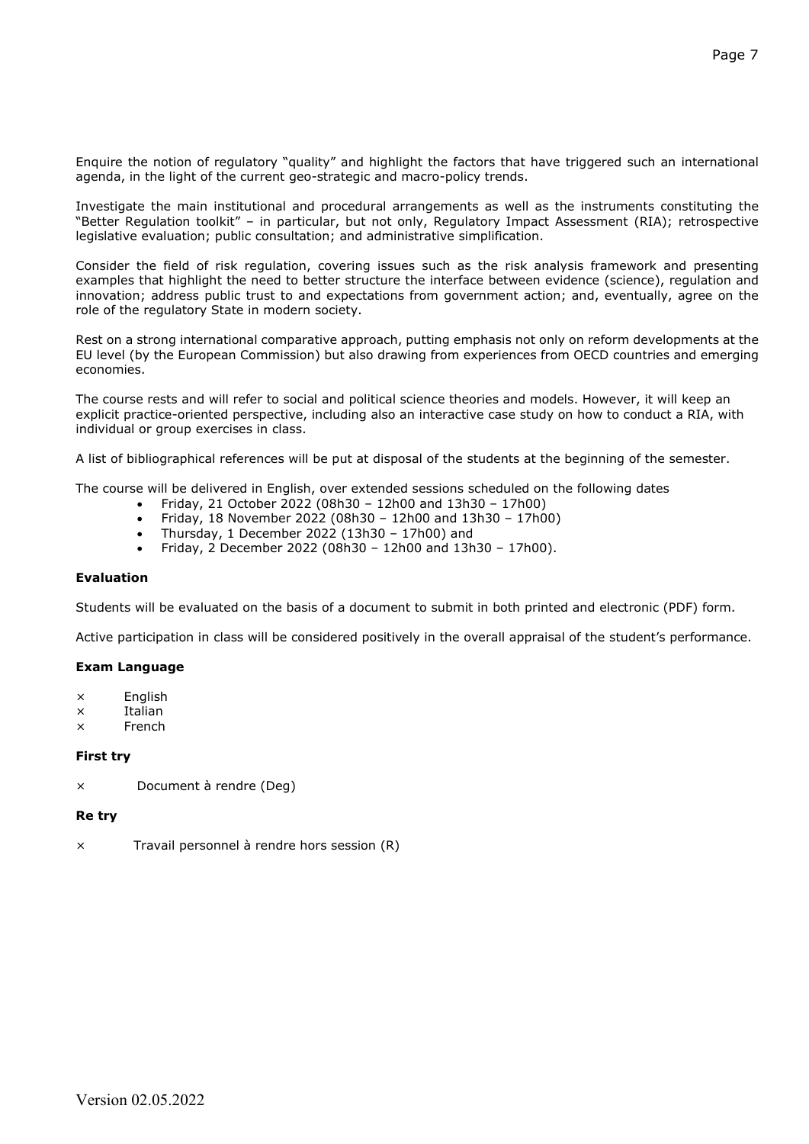Enquire the notion of regulatory "quality" and highlight the factors that have triggered such an international agenda, in the light of the current geo-strategic and macro-policy trends.

Investigate the main institutional and procedural arrangements as well as the instruments constituting the "Better Regulation toolkit" – in particular, but not only, Regulatory Impact Assessment (RIA); retrospective legislative evaluation; public consultation; and administrative simplification.

Consider the field of risk regulation, covering issues such as the risk analysis framework and presenting examples that highlight the need to better structure the interface between evidence (science), regulation and innovation; address public trust to and expectations from government action; and, eventually, agree on the role of the regulatory State in modern society.

Rest on a strong international comparative approach, putting emphasis not only on reform developments at the EU level (by the European Commission) but also drawing from experiences from OECD countries and emerging economies.

The course rests and will refer to social and political science theories and models. However, it will keep an explicit practice-oriented perspective, including also an interactive case study on how to conduct a RIA, with individual or group exercises in class.

A list of bibliographical references will be put at disposal of the students at the beginning of the semester.

The course will be delivered in English, over extended sessions scheduled on the following dates

- Friday, 21 October 2022 (08h30 12h00 and 13h30 17h00)
- Friday, 18 November 2022 (08h30 12h00 and 13h30 17h00)
- Thursday, 1 December 2022 (13h30 17h00) and
- Friday, 2 December 2022 (08h30 12h00 and 13h30 17h00).

#### **Evaluation**

Students will be evaluated on the basis of a document to submit in both printed and electronic (PDF) form.

Active participation in class will be considered positively in the overall appraisal of the student's performance.

## **Exam Language**

- × English
- × Italian
- × French

## **First try**

× Document à rendre (Deg)

#### **Re try**

× Travail personnel à rendre hors session (R)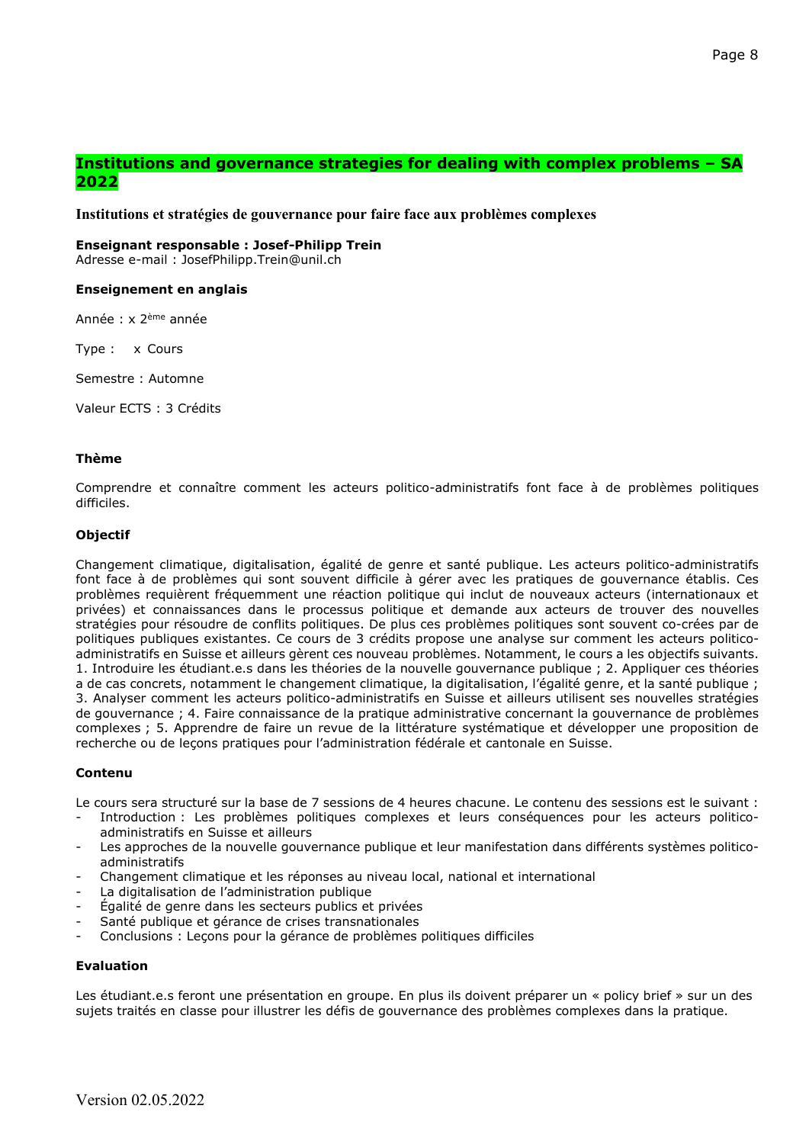# **Institutions and governance strategies for dealing with complex problems – SA 2022**

**Institutions et stratégies de gouvernance pour faire face aux problèmes complexes**

#### **Enseignant responsable : Josef-Philipp Trein**

Adresse e-mail : JosefPhilipp.Trein@unil.ch

## **Enseignement en anglais**

Année : x 2ème année

Type : x Cours

Semestre : Automne

Valeur ECTS : 3 Crédits

#### **Thème**

Comprendre et connaître comment les acteurs politico-administratifs font face à de problèmes politiques difficiles.

## **Objectif**

Changement climatique, digitalisation, égalité de genre et santé publique. Les acteurs politico-administratifs font face à de problèmes qui sont souvent difficile à gérer avec les pratiques de gouvernance établis. Ces problèmes requièrent fréquemment une réaction politique qui inclut de nouveaux acteurs (internationaux et privées) et connaissances dans le processus politique et demande aux acteurs de trouver des nouvelles stratégies pour résoudre de conflits politiques. De plus ces problèmes politiques sont souvent co-crées par de politiques publiques existantes. Ce cours de 3 crédits propose une analyse sur comment les acteurs politicoadministratifs en Suisse et ailleurs gèrent ces nouveau problèmes. Notamment, le cours a les objectifs suivants. 1. Introduire les étudiant.e.s dans les théories de la nouvelle gouvernance publique ; 2. Appliquer ces théories a de cas concrets, notamment le changement climatique, la digitalisation, l'égalité genre, et la santé publique ; 3. Analyser comment les acteurs politico-administratifs en Suisse et ailleurs utilisent ses nouvelles stratégies de gouvernance ; 4. Faire connaissance de la pratique administrative concernant la gouvernance de problèmes complexes ; 5. Apprendre de faire un revue de la littérature systématique et développer une proposition de recherche ou de leçons pratiques pour l'administration fédérale et cantonale en Suisse.

## **Contenu**

Le cours sera structuré sur la base de 7 sessions de 4 heures chacune. Le contenu des sessions est le suivant :

- Introduction : Les problèmes politiques complexes et leurs conséquences pour les acteurs politicoadministratifs en Suisse et ailleurs
- Les approches de la nouvelle gouvernance publique et leur manifestation dans différents systèmes politicoadministratifs
- Changement climatique et les réponses au niveau local, national et international
- La digitalisation de l'administration publique
- Égalité de genre dans les secteurs publics et privées
- Santé publique et gérance de crises transnationales
- Conclusions : Leçons pour la gérance de problèmes politiques difficiles

# **Evaluation**

Les étudiant.e.s feront une présentation en groupe. En plus ils doivent préparer un « policy brief » sur un des sujets traités en classe pour illustrer les défis de gouvernance des problèmes complexes dans la pratique.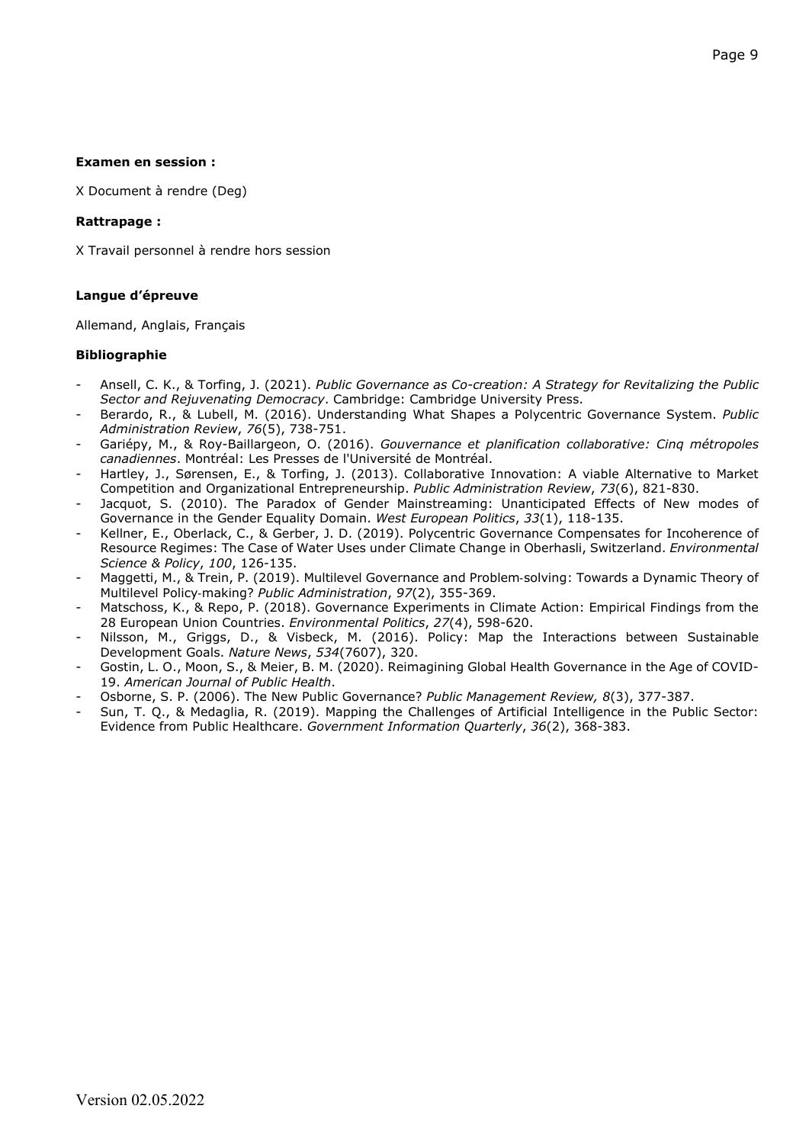## **Examen en session :**

X Document à rendre (Deg)

#### **Rattrapage :**

X Travail personnel à rendre hors session

## **Langue d'épreuve**

Allemand, Anglais, Français

## **Bibliographie**

- Ansell, C. K., & Torfing, J. (2021). *Public Governance as Co-creation: A Strategy for Revitalizing the Public Sector and Rejuvenating Democracy*. Cambridge: Cambridge University Press.
- Berardo, R., & Lubell, M. (2016). Understanding What Shapes a Polycentric Governance System. *Public Administration Review*, *76*(5), 738-751.
- Gariépy, M., & Roy-Baillargeon, O. (2016). *Gouvernance et planification collaborative: Cinq métropoles canadiennes*. Montréal: Les Presses de l'Université de Montréal.
- Hartley, J., Sørensen, E., & Torfing, J. (2013). Collaborative Innovation: A viable Alternative to Market Competition and Organizational Entrepreneurship. *Public Administration Review*, *73*(6), 821-830.
- Jacquot, S. (2010). The Paradox of Gender Mainstreaming: Unanticipated Effects of New modes of Governance in the Gender Equality Domain. *West European Politics*, *33*(1), 118-135.
- Kellner, E., Oberlack, C., & Gerber, J. D. (2019). Polycentric Governance Compensates for Incoherence of Resource Regimes: The Case of Water Uses under Climate Change in Oberhasli, Switzerland. *Environmental Science & Policy*, *100*, 126-135.
- Maggetti, M., & Trein, P. (2019). Multilevel Governance and Problem-solving: Towards a Dynamic Theory of Multilevel Policy‐making? *Public Administration*, *97*(2), 355-369.
- Matschoss, K., & Repo, P. (2018). Governance Experiments in Climate Action: Empirical Findings from the 28 European Union Countries. *Environmental Politics*, *27*(4), 598-620.
- Nilsson, M., Griggs, D., & Visbeck, M. (2016). Policy: Map the Interactions between Sustainable Development Goals. *Nature News*, *534*(7607), 320.
- Gostin, L. O., Moon, S., & Meier, B. M. (2020). Reimagining Global Health Governance in the Age of COVID-19. *American Journal of Public Health*.
- Osborne, S. P. (2006). The New Public Governance? *Public Management Review, 8*(3), 377-387.
- Sun, T. Q., & Medaglia, R. (2019). Mapping the Challenges of Artificial Intelligence in the Public Sector: Evidence from Public Healthcare. *Government Information Quarterly*, *36*(2), 368-383.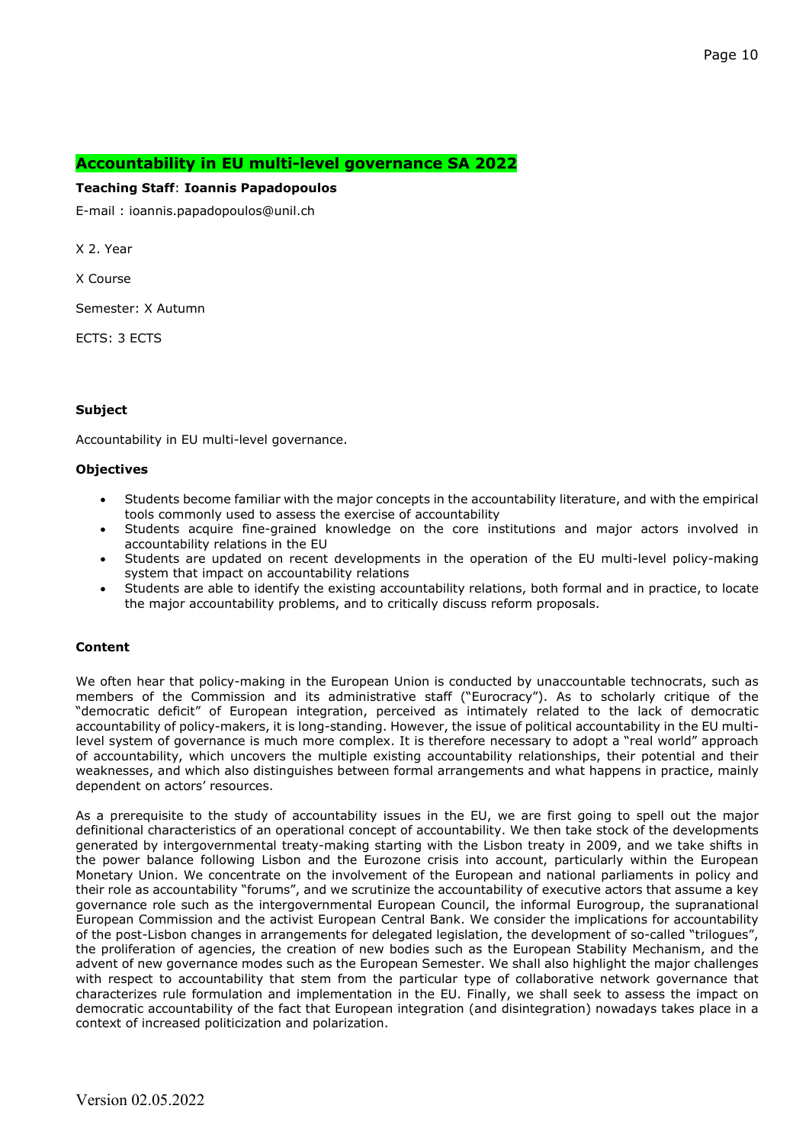# **Accountability in EU multi-level governance SA 2022**

#### **Teaching Staff**: **Ioannis Papadopoulos**

E-mail : ioannis.papadopoulos@unil.ch

X 2. Year

X Course

Semester: X Autumn

ECTS: 3 ECTS

## **Subject**

Accountability in EU multi-level governance.

#### **Objectives**

- Students become familiar with the major concepts in the accountability literature, and with the empirical tools commonly used to assess the exercise of accountability
- Students acquire fine-grained knowledge on the core institutions and major actors involved in accountability relations in the EU
- Students are updated on recent developments in the operation of the EU multi-level policy-making system that impact on accountability relations
- Students are able to identify the existing accountability relations, both formal and in practice, to locate the major accountability problems, and to critically discuss reform proposals.

# **Content**

We often hear that policy-making in the European Union is conducted by unaccountable technocrats, such as members of the Commission and its administrative staff ("Eurocracy"). As to scholarly critique of the "democratic deficit" of European integration, perceived as intimately related to the lack of democratic accountability of policy-makers, it is long-standing. However, the issue of political accountability in the EU multilevel system of governance is much more complex. It is therefore necessary to adopt a "real world" approach of accountability, which uncovers the multiple existing accountability relationships, their potential and their weaknesses, and which also distinguishes between formal arrangements and what happens in practice, mainly dependent on actors' resources.

As a prerequisite to the study of accountability issues in the EU, we are first going to spell out the major definitional characteristics of an operational concept of accountability. We then take stock of the developments generated by intergovernmental treaty-making starting with the Lisbon treaty in 2009, and we take shifts in the power balance following Lisbon and the Eurozone crisis into account, particularly within the European Monetary Union. We concentrate on the involvement of the European and national parliaments in policy and their role as accountability "forums", and we scrutinize the accountability of executive actors that assume a key governance role such as the intergovernmental European Council, the informal Eurogroup, the supranational European Commission and the activist European Central Bank. We consider the implications for accountability of the post-Lisbon changes in arrangements for delegated legislation, the development of so-called "trilogues", the proliferation of agencies, the creation of new bodies such as the European Stability Mechanism, and the advent of new governance modes such as the European Semester. We shall also highlight the major challenges with respect to accountability that stem from the particular type of collaborative network governance that characterizes rule formulation and implementation in the EU. Finally, we shall seek to assess the impact on democratic accountability of the fact that European integration (and disintegration) nowadays takes place in a context of increased politicization and polarization.